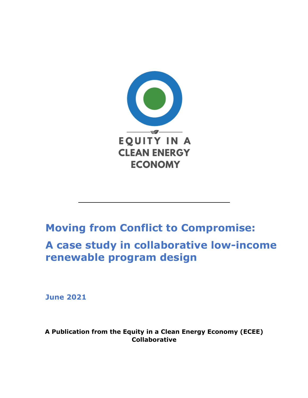

# **Moving from Conflict to Compromise:**

**A case study in collaborative low-income renewable program design**

**June 2021**

**A Publication from the Equity in a Clean Energy Economy (ECEE) Collaborative**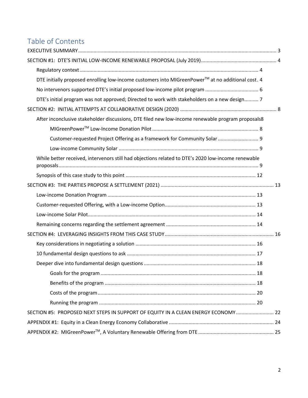# Table of Contents

| DTE initially proposed enrolling low-income customers into MIGreenPower™ at no additional cost. 4  |  |
|----------------------------------------------------------------------------------------------------|--|
|                                                                                                    |  |
| DTE's initial program was not approved; Directed to work with stakeholders on a new design 7       |  |
|                                                                                                    |  |
| After inconclusive stakeholder discussions, DTE filed new low-income renewable program proposals8  |  |
|                                                                                                    |  |
| Customer-requested Project Offering as a framework for Community Solar  9                          |  |
|                                                                                                    |  |
| While better received, intervenors still had objections related to DTE's 2020 low-income renewable |  |
|                                                                                                    |  |
|                                                                                                    |  |
|                                                                                                    |  |
|                                                                                                    |  |
|                                                                                                    |  |
|                                                                                                    |  |
|                                                                                                    |  |
|                                                                                                    |  |
|                                                                                                    |  |
|                                                                                                    |  |
|                                                                                                    |  |
|                                                                                                    |  |
|                                                                                                    |  |
|                                                                                                    |  |
| SECTION #5: PROPOSED NEXT STEPS IN SUPPORT OF EQUITY IN A CLEAN ENERGY ECONOMY  22                 |  |
|                                                                                                    |  |
|                                                                                                    |  |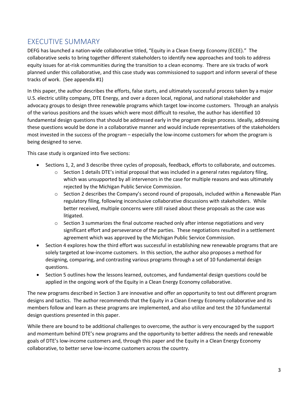## EXECUTIVE SUMMARY

DEFG has launched a nation-wide collaborative titled, "Equity in a Clean Energy Economy (ECEE)." The collaborative seeks to bring together different stakeholders to identify new approaches and tools to address equity issues for at-risk communities during the transition to a clean economy. There are six tracks of work planned under this collaborative, and this case study was commissioned to support and inform several of these tracks of work. (See appendix #1)

In this paper, the author describes the efforts, false starts, and ultimately successful process taken by a major U.S. electric utility company, DTE Energy, and over a dozen local, regional, and national stakeholder and advocacy groups to design three renewable programs which target low-income customers. Through an analysis of the various positions and the issues which were most difficult to resolve, the author has identified 10 fundamental design questions that should be addressed early in the program design process. Ideally, addressing these questions would be done in a collaborative manner and would include representatives of the stakeholders most invested in the success of the program – especially the low-income customers for whom the program is being designed to serve.

This case study is organized into five sections:

- Sections 1, 2, and 3 describe three cycles of proposals, feedback, efforts to collaborate, and outcomes.
	- $\circ$  Section 1 details DTE's initial proposal that was included in a general rates regulatory filing, which was unsupported by all intervenors in the case for multiple reasons and was ultimately rejected by the Michigan Public Service Commission.
	- $\circ$  Section 2 describes the Company's second round of proposals, included within a Renewable Plan regulatory filing, following inconclusive collaborative discussions with stakeholders. While better received, multiple concerns were still raised about these proposals as the case was litigated.
	- $\circ$  Section 3 summarizes the final outcome reached only after intense negotiations and very significant effort and perseverance of the parties. These negotiations resulted in a settlement agreement which was approved by the Michigan Public Service Commission.
- Section 4 explores how the third effort was successful in establishing new renewable programs that are solely targeted at low-income customers. In this section, the author also proposes a method for designing, comparing, and contrasting various programs through a set of 10 fundamental design questions.
- Section 5 outlines how the lessons learned, outcomes, and fundamental design questions could be applied in the ongoing work of the Equity in a Clean Energy Economy collaborative.

The new programs described in Section 3 are innovative and offer an opportunity to test out different program designs and tactics. The author recommends that the Equity in a Clean Energy Economy collaborative and its members follow and learn as these programs are implemented, and also utilize and test the 10 fundamental design questions presented in this paper.

While there are bound to be additional challenges to overcome, the author is very encouraged by the support and momentum behind DTE's new programs and the opportunity to better address the needs and renewable goals of DTE's low-income customers and, through this paper and the Equity in a Clean Energy Economy collaborative, to better serve low-income customers across the country.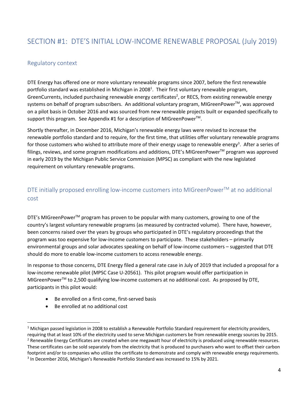# SECTION #1: DTE'S INITIAL LOW-INCOME RENEWABLE PROPOSAL (July 2019)

### Regulatory context

DTE Energy has offered one or more voluntary renewable programs since 2007, before the first renewable portfolio standard was established in Michigan in 2008<sup>1</sup>. Their first voluntary renewable program, GreenCurrents, included purchasing renewable energy certificates<sup>2</sup>, or RECS, from existing renewable energy systems on behalf of program subscribers. An additional voluntary program, MIGreenPower™, was approved on a pilot basis in October 2016 and was sourced from new renewable projects built or expanded specifically to support this program. See Appendix #1 for a description of MIGreenPower<sup>™</sup>.

Shortly thereafter, in December 2016, Michigan's renewable energy laws were revised to increase the renewable portfolio standard and to require, for the first time, that utilities offer voluntary renewable programs for those customers who wished to attribute more of their energy usage to renewable energy<sup>3</sup>. After a series of filings, reviews, and some program modifications and additions, DTE's MIGreenPower™ program was approved in early 2019 by the Michigan Public Service Commission (MPSC) as compliant with the new legislated requirement on voluntary renewable programs.

## DTE initially proposed enrolling low-income customers into MIGreenPower™ at no additional cost

DTE's MIGreenPower<sup>™</sup> program has proven to be popular with many customers, growing to one of the country's largest voluntary renewable programs (as measured by contracted volume). There have, however, been concerns raised over the years by groups who participated in DTE's regulatory proceedings that the program was too expensive for low-income customers to participate. These stakeholders – primarily environmental groups and solar advocates speaking on behalf of low-income customers – suggested that DTE should do more to enable low-income customers to access renewable energy.

In response to those concerns, DTE Energy filed a general rate case in July of 2019 that included a proposal for a low-income renewable pilot (MPSC Case U-20561). This pilot program would offer participation in MIGreenPower<sup>™</sup> to 2,500 qualifying low-income customers at no additional cost. As proposed by DTE, participants in this pilot would:

- Be enrolled on a first-come, first-served basis
- Be enrolled at no additional cost

 $1$  Michigan passed legislation in 2008 to establish a Renewable Portfolio Standard requirement for electricity providers, requiring that at least 10% of the electricity used to serve Michigan customers be from renewable energy sources by 2015.<br><sup>2</sup> Renewable Energy Certificates are created when one megawatt hour of electricity is produced usin These certificates can be sold separately from the electricity that is produced to purchasers who want to offset their carbon footprint and/or to companies who utilize the certificate to demonstrate and comply with renewable energy requirements.

<sup>3</sup> In December 2016, Michigan's Renewable Portfolio Standard was increased to 15% by 2021.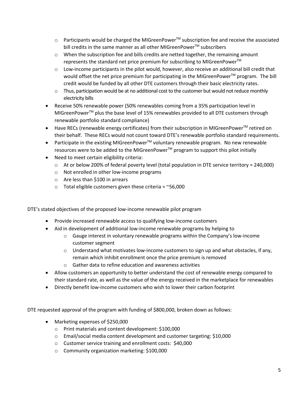- Participants would be charged the MIGreenPower<sup>™</sup> subscription fee and receive the associated bill credits in the same manner as all other MIGreenPower™ subscribers
- $\circ$  When the subscription fee and bills credits are netted together, the remaining amount represents the standard net price premium for subscribing to MIGreenPower<sup>™</sup>
- o Low-income participants in the pilot would, however, also receive an additional bill credit that would offset the net price premium for participating in the MIGreenPower<sup>™</sup> program. The bill credit would be funded by all other DTE customers through their basic electricity rates.
- o Thus, participation would be at no additional cost to the customer but would not reduce monthly electricity bills
- Receive 50% renewable power (50% renewables coming from a 35% participation level in MIGreenPower™ plus the base level of 15% renewables provided to all DTE customers through renewable portfolio standard compliance)
- Have RECs (renewable energy certificates) from their subscription in MIGreenPower<sup>™</sup> retired on their behalf. These RECs would not count toward DTE's renewable portfolio standard requirements.
- Participate in the existing MIGreenPower $T^{M}$  voluntary renewable program. No new renewable resources were to be added to the MIGreenPower™ program to support this pilot initially
- Need to meet certain eligibility criteria:
	- $\circ$  At or below 200% of federal poverty level (total population in DTE service territory = 240,000)
		- o Not enrolled in other low-income programs
		- o Are less than \$100 in arrears
		- $\circ$  Total eligible customers given these criteria = ~56,000

DTE's stated objectives of the proposed low-income renewable pilot program

- Provide increased renewable access to qualifying low-income customers
- Aid in development of additional low-income renewable programs by helping to
	- $\circ$  Gauge interest in voluntary renewable programs within the Company's low-income customer segment
	- $\circ$  Understand what motivates low-income customers to sign up and what obstacles, if any, remain which inhibit enrollment once the price premium is removed
	- o Gather data to refine education and awareness activities
- Allow customers an opportunity to better understand the cost of renewable energy compared to their standard rate, as well as the value of the energy received in the marketplace for renewables
- Directly benefit low-income customers who wish to lower their carbon footprint

DTE requested approval of the program with funding of \$800,000, broken down as follows:

- Marketing expenses of \$250,000
	- o Print materials and content development: \$100,000
	- o Email/social media content development and customer targeting: \$10,000
	- o Customer service training and enrollment costs: \$40,000
	- o Community organization marketing: \$100,000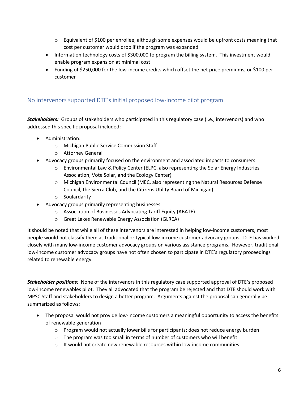- $\circ$  Equivalent of \$100 per enrollee, although some expenses would be upfront costs meaning that cost per customer would drop if the program was expanded
- Information technology costs of \$300,000 to program the billing system. This investment would enable program expansion at minimal cost
- Funding of \$250,000 for the low-income credits which offset the net price premiums, or \$100 per customer

#### No intervenors supported DTE's initial proposed low-income pilot program

*Stakeholders:* Groups of stakeholders who participated in this regulatory case (i.e., intervenors) and who addressed this specific proposal included:

- Administration:
	- o Michigan Public Service Commission Staff
	- o Attorney General
- Advocacy groups primarily focused on the environment and associated impacts to consumers:
	- o Environmental Law & Policy Center (ELPC, also representing the Solar Energy Industries Association, Vote Solar, and the Ecology Center)
	- o Michigan Environmental Council (MEC, also representing the Natural Resources Defense Council, the Sierra Club, and the Citizens Utility Board of Michigan)
	- o Soulardarity
- Advocacy groups primarily representing businesses:
	- o Association of Businesses Advocating Tariff Equity (ABATE)
	- o Great Lakes Renewable Energy Association (GLREA)

It should be noted that while all of these intervenors are interested in helping low-income customers, most people would not classify them as traditional or typical low-income customer advocacy groups. DTE has worked closely with many low-income customer advocacy groups on various assistance programs. However, traditional low-income customer advocacy groups have not often chosen to participate in DTE's regulatory proceedings related to renewable energy.

*Stakeholder positions:* None of the intervenors in this regulatory case supported approval of DTE's proposed low-income renewables pilot. They all advocated that the program be rejected and that DTE should work with MPSC Staff and stakeholders to design a better program. Arguments against the proposal can generally be summarized as follows:

- The proposal would not provide low-income customers a meaningful opportunity to access the benefits of renewable generation
	- $\circ$  Program would not actually lower bills for participants; does not reduce energy burden
	- o The program was too small in terms of number of customers who will benefit
	- $\circ$  It would not create new renewable resources within low-income communities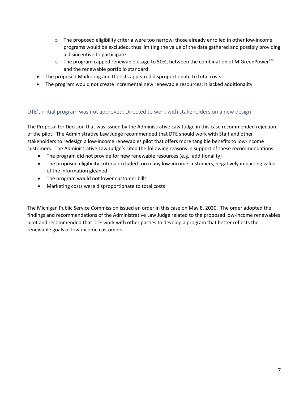- $\circ$  The proposed eligibility criteria were too narrow; those already enrolled in other low-income programs would be excluded, thus limiting the value of the data gathered and possibly providing a disincentive to participate
- o The program capped renewable usage to 50%, between the combination of MIGreenPower<sup>™</sup> and the renewable portfolio standard
- The proposed Marketing and IT costs appeared disproportionate to total costs
- The program would not create incremental new renewable resources; it lacked additionality

#### DTE's initial program was not approved; Directed to work with stakeholders on a new design

The Proposal for Decision that was issued by the Administrative Law Judge in this case recommended rejection of the pilot. The Administrative Law Judge recommended that DTE should work with Staff and other stakeholders to redesign a low-income renewables pilot that offers more tangible benefits to low-income customers. The Administrative Law Judge's cited the following reasons in support of these recommendations:

- The program did not provide for new renewable resources (e.g., additionality)
- The proposed eligibility criteria excluded too many low-income customers, negatively impacting value of the information gleaned
- The program would not lower customer bills
- Marketing costs were disproportionate to total costs

The Michigan Public Service Commission issued an order in this case on May 8, 2020. The order adopted the findings and recommendations of the Administrative Law Judge related to the proposed low-income renewables pilot and recommended that DTE work with other parties to develop a program that better reflects the renewable goals of low-income customers.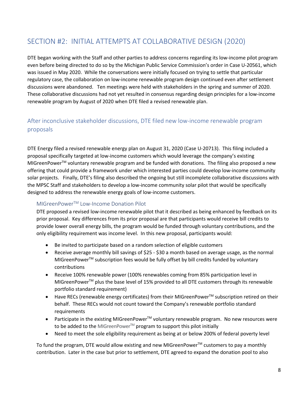# SECTION #2: INITIAL ATTEMPTS AT COLLABORATIVE DESIGN (2020)

DTE began working with the Staff and other parties to address concerns regarding its low-income pilot program even before being directed to do so by the Michigan Public Service Commission's order in Case U-20561, which was issued in May 2020. While the conversations were initially focused on trying to settle that particular regulatory case, the collaboration on low-income renewable program design continued even after settlement discussions were abandoned. Ten meetings were held with stakeholders in the spring and summer of 2020. These collaborative discussions had not yet resulted in consensus regarding design principles for a low-income renewable program by August of 2020 when DTE filed a revised renewable plan.

## After inconclusive stakeholder discussions, DTE filed new low-income renewable program proposals

DTE Energy filed a revised renewable energy plan on August 31, 2020 (Case U-20713). This filing included a proposal specifically targeted at low-income customers which would leverage the company's existing MIGreenPower™ voluntary renewable program and be funded with donations. The filing also proposed a new offering that could provide a framework under which interested parties could develop low-income community solar projects. Finally, DTE's filing also described the ongoing but still incomplete collaborative discussions with the MPSC Staff and stakeholders to develop a low-income community solar pilot that would be specifically designed to address the renewable energy goals of low-income customers.

#### MIGreenPowerTM Low-Income Donation Pilot

DTE proposed a revised low-income renewable pilot that it described as being enhanced by feedback on its prior proposal. Key differences from its prior proposal are that participants would receive bill credits to provide lower overall energy bills, the program would be funded through voluntary contributions, and the only eligibility requirement was income level. In this new proposal, participants would:

- Be invited to participate based on a random selection of eligible customers
- Receive average monthly bill savings of \$25 \$30 a month based on average usage, as the normal MIGreenPower™ subscription fees would be fully offset by bill credits funded by voluntary contributions
- Receive 100% renewable power (100% renewables coming from 85% participation level in MIGreenPower™ plus the base level of 15% provided to all DTE customers through its renewable portfolio standard requirement)
- Have RECs (renewable energy certificates) from their MIGreenPower<sup>TM</sup> subscription retired on their behalf. These RECs would not count toward the Company's renewable portfolio standard requirements
- Participate in the existing MIGreenPower $TM$  voluntary renewable program. No new resources were to be added to the MIGreenPower™ program to support this pilot initially
- Need to meet the sole eligibility requirement as being at or below 200% of federal poverty level

To fund the program, DTE would allow existing and new MIGreenPower™ customers to pay a monthly contribution. Later in the case but prior to settlement, DTE agreed to expand the donation pool to also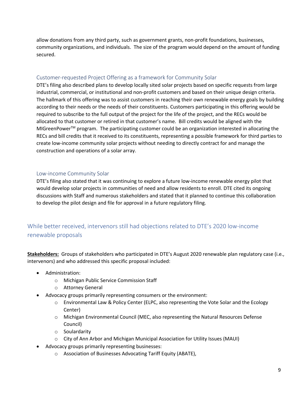allow donations from any third party, such as government grants, non-profit foundations, businesses, community organizations, and individuals. The size of the program would depend on the amount of funding secured.

#### Customer-requested Project Offering as a framework for Community Solar

DTE's filing also described plans to develop locally sited solar projects based on specific requests from large industrial, commercial, or institutional and non-profit customers and based on their unique design criteria. The hallmark of this offering was to assist customers in reaching their own renewable energy goals by building according to their needs or the needs of their constituents. Customers participating in this offering would be required to subscribe to the full output of the project for the life of the project, and the RECs would be allocated to that customer or retired in that customer's name. Bill credits would be aligned with the MIGreenPower<sup>™</sup> program. The participating customer could be an organization interested in allocating the RECs and bill credits that it received to its constituents, representing a possible framework for third parties to create low-income community solar projects without needing to directly contract for and manage the construction and operations of a solar array.

#### Low-income Community Solar

DTE's filing also stated that it was continuing to explore a future low-income renewable energy pilot that would develop solar projects in communities of need and allow residents to enroll. DTE cited its ongoing discussions with Staff and numerous stakeholders and stated that it planned to continue this collaboration to develop the pilot design and file for approval in a future regulatory filing.

## While better received, intervenors still had objections related to DTE's 2020 low-income renewable proposals

**Stakeholders:** Groups of stakeholders who participated in DTE's August 2020 renewable plan regulatory case (i.e., intervenors) and who addressed this specific proposal included:

- Administration:
	- o Michigan Public Service Commission Staff
	- o Attorney General
- Advocacy groups primarily representing consumers or the environment:
	- o Environmental Law & Policy Center (ELPC, also representing the Vote Solar and the Ecology Center)
	- o Michigan Environmental Council (MEC, also representing the Natural Resources Defense Council)
	- o Soulardarity
	- o City of Ann Arbor and Michigan Municipal Association for Utility Issues (MAUI)
- Advocacy groups primarily representing businesses:
	- o Association of Businesses Advocating Tariff Equity (ABATE),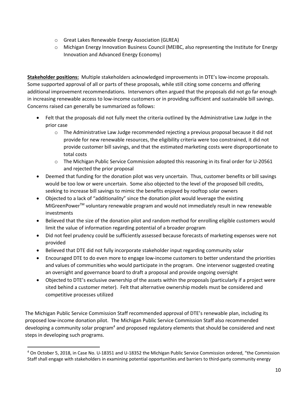- o Great Lakes Renewable Energy Association (GLREA)
- o Michigan Energy Innovation Business Council (MEIBC, also representing the Institute for Energy Innovation and Advanced Energy Economy)

**Stakeholder positions:** Multiple stakeholders acknowledged improvements in DTE's low-income proposals. Some supported approval of all or parts of these proposals, while still citing some concerns and offering additional improvement recommendations. Intervenors often argued that the proposals did not go far enough in increasing renewable access to low-income customers or in providing sufficient and sustainable bill savings. Concerns raised can generally be summarized as follows:

- Felt that the proposals did not fully meet the criteria outlined by the Administrative Law Judge in the prior case
	- o The Administrative Law Judge recommended rejecting a previous proposal because it did not provide for new renewable resources, the eligibility criteria were too constrained, it did not provide customer bill savings, and that the estimated marketing costs were disproportionate to total costs
	- $\circ$  The Michigan Public Service Commission adopted this reasoning in its final order for U-20561 and rejected the prior proposal
- Deemed that funding for the donation pilot was very uncertain. Thus, customer benefits or bill savings would be too low or were uncertain. Some also objected to the level of the proposed bill credits, seeking to increase bill savings to mimic the benefits enjoyed by rooftop solar owners
- Objected to a lack of "additionality" since the donation pilot would leverage the existing MIGreenPower™ voluntary renewable program and would not immediately result in new renewable investments
- Believed that the size of the donation pilot and random method for enrolling eligible customers would limit the value of information regarding potential of a broader program
- Did not feel prudency could be sufficiently assessed because forecasts of marketing expenses were not provided
- Believed that DTE did not fully incorporate stakeholder input regarding community solar
- Encouraged DTE to do even more to engage low-income customers to better understand the priorities and values of communities who would participate in the program. One intervenor suggested creating an oversight and governance board to draft a proposal and provide ongoing oversight
- Objected to DTE's exclusive ownership of the assets within the proposals (particularly if a project were sited behind a customer meter). Felt that alternative ownership models must be considered and competitive processes utilized

The Michigan Public Service Commission Staff recommended approval of DTE's renewable plan, including its proposed low-income donation pilot. The Michigan Public Service Commission Staff also recommended developing a community solar program<sup>4</sup> and proposed regulatory elements that should be considered and next steps in developing such programs.

<sup>4</sup> On October 5, 2018, in Case No. U-18351 and U-18352 the Michigan Public Service Commission ordered, "the Commission Staff shall engage with stakeholders in examining potential opportunities and barriers to third-party community energy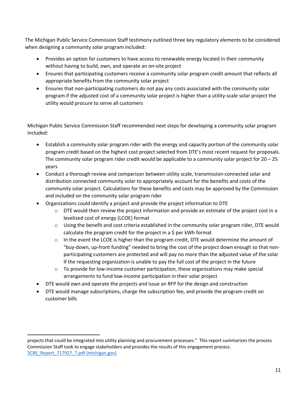The Michigan Public Service Commission Staff testimony outlined three key regulatory elements to be considered when designing a community solar program included:

- Provides an option for customers to have access to renewable energy located in their community without having to build, own, and operate an on-site project
- Ensures that participating customers receive a community solar program credit amount that reflects all appropriate benefits from the community solar project
- Ensures that non-participating customers do not pay any costs associated with the community solar program if the adjusted cost of a community solar project is higher than a utility-scale solar project the utility would procure to serve all customers

Michigan Public Service Commission Staff recommended next steps for developing a community solar program included:

- Establish a community solar program rider with the energy and capacity portion of the community solar program credit based on the highest cost project selected from DTE's most recent request for proposals. The community solar program rider credit would be applicable to a community solar project for 20 – 25 years
- Conduct a thorough review and comparison between utility scale, transmission-connected solar and distribution connected community solar to appropriately account for the benefits and costs of the community solar project. Calculations for these benefits and costs may be approved by the Commission and included on the community solar program rider
- Organizations could identify a project and provide the project information to DTE
	- $\circ$  DTE would then review the project information and provide an estimate of the project cost in a levelized cost of energy (LCOE) format
	- $\circ$  Using the benefit and cost criteria established in the community solar program rider, DTE would calculate the program credit for the project in a \$ per kWh format
	- $\circ$  In the event the LCOE is higher than the program credit, DTE would determine the amount of "buy-down, up-front funding" needed to bring the cost of the project down enough so that nonparticipating customers are protected and will pay no more than the adjusted value of the solar if the requesting organization is unable to pay the full cost of the project in the future
	- $\circ$  To provide for low-income customer participation, these organizations may make special arrangements to fund low-income participation in their solar project
- DTE would own and operate the projects and issue an RFP for the design and construction
- DTE would manage subscriptions, charge the subscription fee, and provide the program credit on customer bills

projects that could be integrated into utility planning and procurement processes." This report summarizes the process Commission Staff took to engage stakeholders and provides the results of this engagement process. 3CRE\_Report\_717927\_7.pdf (michigan.gov)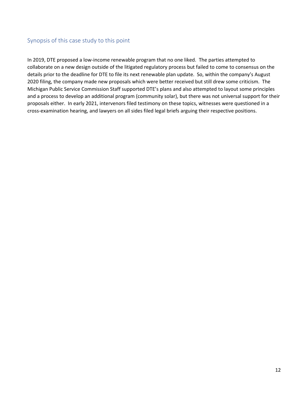## Synopsis of this case study to this point

In 2019, DTE proposed a low-income renewable program that no one liked. The parties attempted to collaborate on a new design outside of the litigated regulatory process but failed to come to consensus on the details prior to the deadline for DTE to file its next renewable plan update. So, within the company's August 2020 filing, the company made new proposals which were better received but still drew some criticism. The Michigan Public Service Commission Staff supported DTE's plans and also attempted to layout some principles and a process to develop an additional program (community solar), but there was not universal support for their proposals either. In early 2021, intervenors filed testimony on these topics, witnesses were questioned in a cross-examination hearing, and lawyers on all sides filed legal briefs arguing their respective positions.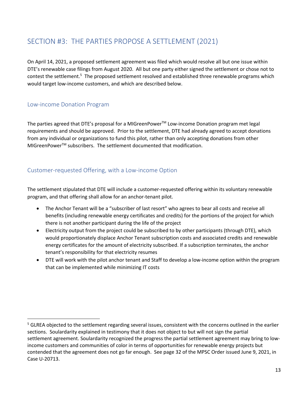# SECTION #3: THE PARTIES PROPOSE A SETTLEMENT (2021)

On April 14, 2021, a proposed settlement agreement was filed which would resolve all but one issue within DTE's renewable case filings from August 2020. All but one party either signed the settlement or chose not to contest the settlement.<sup>5</sup> The proposed settlement resolved and established three renewable programs which would target low-income customers, and which are described below.

### Low-income Donation Program

The parties agreed that DTE's proposal for a MIGreenPower™ Low-income Donation program met legal requirements and should be approved. Prior to the settlement, DTE had already agreed to accept donations from any individual or organizations to fund this pilot, rather than only accepting donations from other MIGreenPower<sup>™</sup> subscribers. The settlement documented that modification.

## Customer-requested Offering, with a Low-income Option

The settlement stipulated that DTE will include a customer-requested offering within its voluntary renewable program, and that offering shall allow for an anchor-tenant pilot.

- The Anchor Tenant will be a "subscriber of last resort" who agrees to bear all costs and receive all benefits (including renewable energy certificates and credits) for the portions of the project for which there is not another participant during the life of the project
- Electricity output from the project could be subscribed to by other participants (through DTE), which would proportionately displace Anchor Tenant subscription costs and associated credits and renewable energy certificates for the amount of electricity subscribed. If a subscription terminates, the anchor tenant's responsibility for that electricity resumes
- DTE will work with the pilot anchor tenant and Staff to develop a low-income option within the program that can be implemented while minimizing IT costs

<sup>&</sup>lt;sup>5</sup> GLREA objected to the settlement regarding several issues, consistent with the concerns outlined in the earlier sections. Soulardarity explained in testimony that it does not object to but will not sign the partial settlement agreement. Soulardarity recognized the progress the partial settlement agreement may bring to lowincome customers and communities of color in terms of opportunities for renewable energy projects but contended that the agreement does not go far enough. See page 32 of the MPSC Order issued June 9, 2021, in Case U-20713.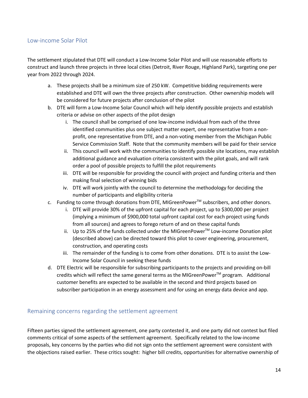#### Low-income Solar Pilot

The settlement stipulated that DTE will conduct a Low-Income Solar Pilot and will use reasonable efforts to construct and launch three projects in three local cities (Detroit, River Rouge, Highland Park), targeting one per year from 2022 through 2024.

- a. These projects shall be a minimum size of 250 kW. Competitive bidding requirements were established and DTE will own the three projects after construction. Other ownership models will be considered for future projects after conclusion of the pilot
- b. DTE will form a Low-Income Solar Council which will help identify possible projects and establish criteria or advise on other aspects of the pilot design
	- i. The council shall be comprised of one low-income individual from each of the three identified communities plus one subject matter expert, one representative from a nonprofit, one representative from DTE, and a non-voting member from the Michigan Public Service Commission Staff. Note that the community members will be paid for their service
	- ii. This council will work with the communities to identify possible site locations, may establish additional guidance and evaluation criteria consistent with the pilot goals, and will rank order a pool of possible projects to fulfill the pilot requirements
	- iii. DTE will be responsible for providing the council with project and funding criteria and then making final selection of winning bids
	- iv. DTE will work jointly with the council to determine the methodology for deciding the number of participants and eligibility criteria
- c. Funding to come through donations from DTE, MIGreenPower™ subscribers, and other donors.
	- i. DTE will provide 30% of the upfront capital for each project, up to \$300,000 per project (implying a minimum of \$900,000 total upfront capital cost for each project using funds from all sources) and agrees to forego return of and on these capital funds
	- ii. Up to 25% of the funds collected under the MIGreenPower™ Low-income Donation pilot (described above) can be directed toward this pilot to cover engineering, procurement, construction, and operating costs
	- iii. The remainder of the funding is to come from other donations. DTE is to assist the Low-Income Solar Council in seeking these funds
- d. DTE Electric will be responsible for subscribing participants to the projects and providing on-bill credits which will reflect the same general terms as the MIGreenPower<sup>TM</sup> program. Additional customer benefits are expected to be available in the second and third projects based on subscriber participation in an energy assessment and for using an energy data device and app.

#### Remaining concerns regarding the settlement agreement

Fifteen parties signed the settlement agreement, one party contested it, and one party did not contest but filed comments critical of some aspects of the settlement agreement. Specifically related to the low-income proposals, key concerns by the parties who did not sign onto the settlement agreement were consistent with the objections raised earlier. These critics sought: higher bill credits, opportunities for alternative ownership of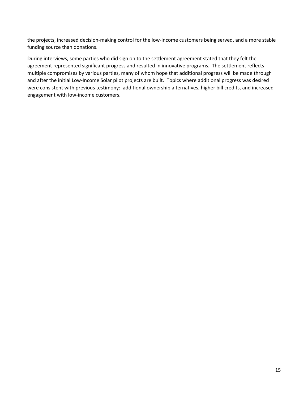the projects, increased decision-making control for the low-income customers being served, and a more stable funding source than donations.

During interviews, some parties who did sign on to the settlement agreement stated that they felt the agreement represented significant progress and resulted in innovative programs. The settlement reflects multiple compromises by various parties, many of whom hope that additional progress will be made through and after the initial Low-Income Solar pilot projects are built. Topics where additional progress was desired were consistent with previous testimony: additional ownership alternatives, higher bill credits, and increased engagement with low-income customers.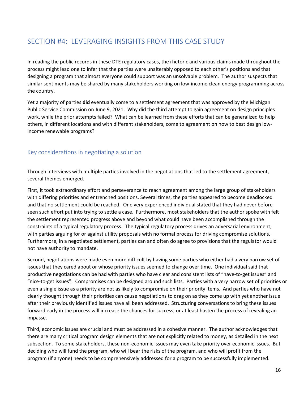# SECTION #4: LEVERAGING INSIGHTS FROM THIS CASE STUDY

In reading the public records in these DTE regulatory cases, the rhetoric and various claims made throughout the process might lead one to infer that the parties were unalterably opposed to each other's positions and that designing a program that almost everyone could support was an unsolvable problem. The author suspects that similar sentiments may be shared by many stakeholders working on low-income clean energy programming across the country.

Yet a majority of parties **did** eventually come to a settlement agreement that was approved by the Michigan Public Service Commission on June 9, 2021. Why did the third attempt to gain agreement on design principles work, while the prior attempts failed? What can be learned from these efforts that can be generalized to help others, in different locations and with different stakeholders, come to agreement on how to best design lowincome renewable programs?

#### Key considerations in negotiating a solution

Through interviews with multiple parties involved in the negotiations that led to the settlement agreement, several themes emerged.

First, it took extraordinary effort and perseverance to reach agreement among the large group of stakeholders with differing priorities and entrenched positions. Several times, the parties appeared to become deadlocked and that no settlement could be reached. One very experienced individual stated that they had never before seen such effort put into trying to settle a case. Furthermore, most stakeholders that the author spoke with felt the settlement represented progress above and beyond what could have been accomplished through the constraints of a typical regulatory process. The typical regulatory process drives an adversarial environment, with parties arguing for or against utility proposals with no formal process for driving compromise solutions. Furthermore, in a negotiated settlement, parties can and often do agree to provisions that the regulator would not have authority to mandate.

Second, negotiations were made even more difficult by having some parties who either had a very narrow set of issues that they cared about or whose priority issues seemed to change over time. One individual said that productive negotiations can be had with parties who have clear and consistent lists of "have-to-get issues" and "nice-to-get issues". Compromises can be designed around such lists. Parties with a very narrow set of priorities or even a single issue as a priority are not as likely to compromise on their priority items. And parties who have not clearly thought through their priorities can cause negotiations to drag on as they come up with yet another issue after their previously identified issues have all been addressed. Structuring conversations to bring these issues forward early in the process will increase the chances for success, or at least hasten the process of revealing an impasse.

Third, economic issues are crucial and must be addressed in a cohesive manner. The author acknowledges that there are many critical program design elements that are not explicitly related to money, as detailed in the next subsection. To some stakeholders, these non-economic issues may even take priority over economic issues. But deciding who will fund the program, who will bear the risks of the program, and who will profit from the program (if anyone) needs to be comprehensively addressed for a program to be successfully implemented.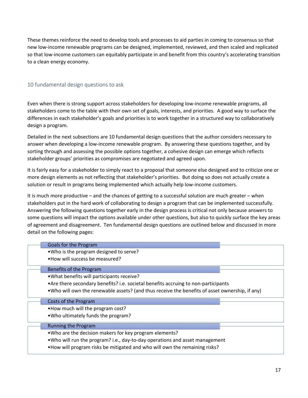These themes reinforce the need to develop tools and processes to aid parties in coming to consensus so that new low-income renewable programs can be designed, implemented, reviewed, and then scaled and replicated so that low-income customers can equitably participate in and benefit from this country's accelerating transition to a clean energy economy.

#### 10 fundamental design questions to ask

Even when there is strong support across stakeholders for developing low-income renewable programs, all stakeholders come to the table with their own set of goals, interests, and priorities. A good way to surface the differences in each stakeholder's goals and priorities is to work together in a structured way to collaboratively design a program.

Detailed in the next subsections are 10 fundamental design questions that the author considers necessary to answer when developing a low-income renewable program. By answering these questions together, and by sorting through and assessing the possible options together, a cohesive design can emerge which reflects stakeholder groups' priorities as compromises are negotiated and agreed upon.

It is fairly easy for a stakeholder to simply react to a proposal that someone else designed and to criticize one or more design elements as not reflecting that stakeholder's priorities. But doing so does not actually create a solution or result in programs being implemented which actually help low-income customers.

It is much more productive – and the chances of getting to a successful solution are much greater – when stakeholders put in the hard work of collaborating to design a program that can be implemented successfully. Answering the following questions together early in the design process is critical not only because answers to some questions will impact the options available under other questions, but also to quickly surface the key areas of agreement and disagreement. Ten fundamental design questions are outlined below and discussed in more detail on the following pages:

#### Goals for the Program

- •Who is the program designed to serve?
- •How will success be measured?

#### Benefits of the Program

- •What benefits will participants receive?
- •Are there secondary benefits? i.e. societal benefits accruing to non-participants
- •Who will own the renewable assets? (and thus receive the benefits of asset ownership, if any)

#### Costs of the Program

- •How much will the program cost?
- •Who ultimately funds the program?

#### Running the Program

- •Who are the decision makers for key program elements?
- •Who will run the program? i.e., day-to-day operations and asset management
- •How will program risks be mitigated and who will own the remaining risks?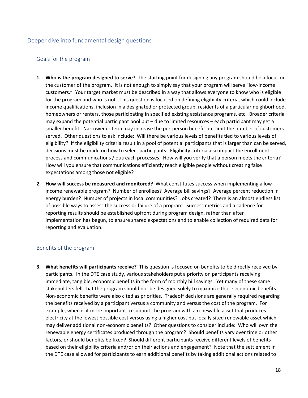#### Deeper dive into fundamental design questions

#### Goals for the program

- **1. Who is the program designed to serve?** The starting point for designing any program should be a focus on the customer of the program. It is not enough to simply say that your program will serve "low-income customers." Your target market must be described in a way that allows everyone to know who is eligible for the program and who is not. This question is focused on defining eligibility criteria, which could include income qualifications, inclusion in a designated or protected group, residents of a particular neighborhood, homeowners or renters, those participating in specified existing assistance programs, etc. Broader criteria may expand the potential participant pool but – due to limited resources – each participant may get a smaller benefit. Narrower criteria may increase the per-person benefit but limit the number of customers served. Other questions to ask include: Will there be various levels of benefits tied to various levels of eligibility? If the eligibility criteria result in a pool of potential participants that is larger than can be served, decisions must be made on how to select participants. Eligibility criteria also impact the enrollment process and communications / outreach processes. How will you verify that a person meets the criteria? How will you ensure that communications efficiently reach eligible people without creating false expectations among those not eligible?
- **2. How will success be measured and monitored?** What constitutes success when implementing a lowincome renewable program? Number of enrollees? Average bill savings? Average percent reduction in energy burden? Number of projects in local communities? Jobs created? There is an almost endless list of possible ways to assess the success or failure of a program. Success metrics and a cadence for reporting results should be established upfront during program design, rather than after implementation has begun, to ensure shared expectations and to enable collection of required data for reporting and evaluation.

#### Benefits of the program

**3. What benefits will participants receive?** This question is focused on benefits to be directly received by participants. In the DTE case study, various stakeholders put a priority on participants receiving immediate, tangible, economic benefits in the form of monthly bill savings. Yet many of these same stakeholders felt that the program should not be designed solely to maximize those economic benefits. Non-economic benefits were also cited as priorities. Tradeoff decisions are generally required regarding the benefits received by a participant versus a community and versus the cost of the program. For example, when is it more important to support the program with a renewable asset that produces electricity at the lowest possible cost versus using a higher cost but locally sited renewable asset which may deliver additional non-economic benefits? Other questions to consider include: Who will own the renewable energy certificates produced through the program? Should benefits vary over time or other factors, or should benefits be fixed? Should different participants receive different levels of benefits based on their eligibility criteria and/or on their actions and engagement? Note that the settlement in the DTE case allowed for participants to earn additional benefits by taking additional actions related to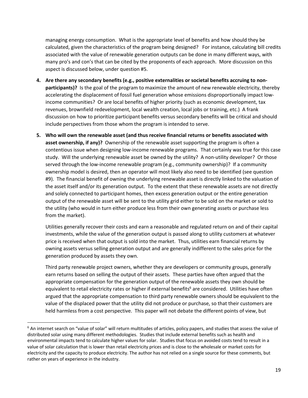managing energy consumption. What is the appropriate level of benefits and how should they be calculated, given the characteristics of the program being designed? For instance, calculating bill credits associated with the value of renewable generation outputs can be done in many different ways, with many pro's and con's that can be cited by the proponents of each approach. More discussion on this aspect is discussed below, under question #5.

- **4. Are there any secondary benefits (e.g., positive externalities or societal benefits accruing to nonparticipants)?** Is the goal of the program to maximize the amount of new renewable electricity, thereby accelerating the displacement of fossil fuel generation whose emissions disproportionally impact lowincome communities? Or are local benefits of higher priority (such as economic development, tax revenues, brownfield redevelopment, local wealth creation, local jobs or training, etc.) A frank discussion on how to prioritize participant benefits versus secondary benefits will be critical and should include perspectives from those whom the program is intended to serve.
- **5. Who will own the renewable asset (and thus receive financial returns or benefits associated with asset ownership, if any)?** Ownership of the renewable asset supporting the program is often a contentious issue when designing low-income renewable programs. That certainly was true for this case study. Will the underlying renewable asset be owned by the utility? A non-utility developer? Or those served through the low-income renewable program (e.g., community ownership)? If a community ownership model is desired, then an operator will most likely also need to be identified (see question #9). The financial benefit of owning the underlying renewable asset is directly linked to the valuation of the asset itself and/or its generation output. To the extent that these renewable assets are not directly and solely connected to participant homes, then excess generation output or the entire generation output of the renewable asset will be sent to the utility grid either to be sold on the market or sold to the utility (who would in turn either produce less from their own generating assets or purchase less from the market).

Utilities generally recover their costs and earn a reasonable and regulated return on and of their capital investments, while the value of the generation output is passed along to utility customers at whatever price is received when that output is sold into the market. Thus, utilities earn financial returns by owning assets versus selling generation output and are generally indifferent to the sales price for the generation produced by assets they own.

Third party renewable project owners, whether they are developers or community groups, generally earn returns based on selling the output of their assets. These parties have often argued that the appropriate compensation for the generation output of the renewable assets they own should be equivalent to retail electricity rates or higher if external benefits<sup>6</sup> are considered. Utilities have often argued that the appropriate compensation to third party renewable owners should be equivalent to the value of the displaced power that the utility did not produce or purchase, so that their customers are held harmless from a cost perspective. This paper will not debate the different points of view, but

<sup>&</sup>lt;sup>6</sup> An internet search on "value of solar" will return multitudes of articles, policy papers, and studies that assess the value of distributed solar using many different methodologies. Studies that include external benefits such as health and environmental impacts tend to calculate higher values for solar. Studies that focus on avoided costs tend to result in a value of solar calculation that is lower than retail electricity prices and is close to the wholesale or market costs for electricity and the capacity to produce electricity. The author has not relied on a single source for these comments, but rather on years of experience in the industry.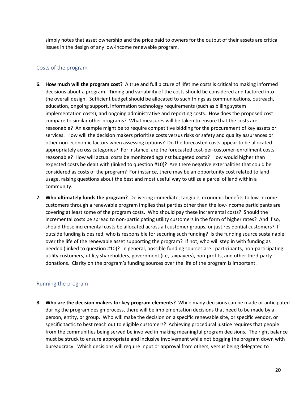simply notes that asset ownership and the price paid to owners for the output of their assets are critical issues in the design of any low-income renewable program.

#### Costs of the program

- **6. How much will the program cost?** A true and full picture of lifetime costs is critical to making informed decisions about a program. Timing and variability of the costs should be considered and factored into the overall design. Sufficient budget should be allocated to such things as communications, outreach, education, ongoing support, information technology requirements (such as billing system implementation costs), and ongoing administrative and reporting costs. How does the proposed cost compare to similar other programs? What measures will be taken to ensure that the costs are reasonable? An example might be to require competitive bidding for the procurement of key assets or services. How will the decision makers prioritize costs versus risks or safety and quality assurances or other non-economic factors when assessing options? Do the forecasted costs appear to be allocated appropriately across categories? For instance, are the forecasted cost-per-customer-enrollment costs reasonable? How will actual costs be monitored against budgeted costs? How would higher than expected costs be dealt with (linked to question #10)? Are there negative externalities that could be considered as costs of the program? For instance, there may be an opportunity cost related to land usage, raising questions about the best and most useful way to utilize a parcel of land within a community.
- **7. Who ultimately funds the program?** Delivering immediate, tangible, economic benefits to low-income customers through a renewable program implies that parties other than the low-income participants are covering at least some of the program costs. Who should pay these incremental costs? Should the incremental costs be spread to non-participating utility customers in the form of higher rates? And if so, should those incremental costs be allocated across all customer groups, or just residential customers? If outside funding is desired, who is responsible for securing such funding? Is the funding source sustainable over the life of the renewable asset supporting the program? If not, who will step in with funding as needed (linked to question #10)? In general, possible funding sources are: participants, non-participating utility customers, utility shareholders, government (i.e, taxpayers), non-profits, and other third-party donations. Clarity on the program's funding sources over the life of the program is important.

#### Running the program

**8. Who are the decision makers for key program elements?** While many decisions can be made or anticipated during the program design process, there will be implementation decisions that need to be made by a person, entity, or group. Who will make the decision on a specific renewable site, or specific vendor, or specific tactic to best reach out to eligible customers? Achieving procedural justice requires that people from the communities being served be involved in making meaningful program decisions. The right balance must be struck to ensure appropriate and inclusive involvement while not bogging the program down with bureaucracy. Which decisions will require input or approval from others, versus being delegated to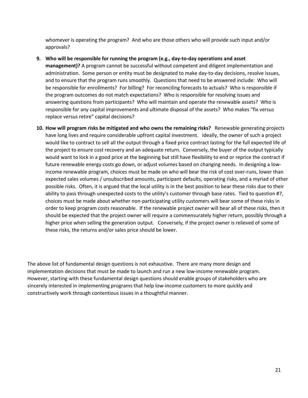whomever is operating the program? And who are those others who will provide such input and/or approvals?

- **9. Who will be responsible for running the program (e.g., day-to-day operations and asset management)?** A program cannot be successful without competent and diligent implementation and administration. Some person or entity must be designated to make day-to-day decisions, resolve issues, and to ensure that the program runs smoothly. Questions that need to be answered include: Who will be responsible for enrollments? For billing? For reconciling forecasts to actuals? Who is responsible if the program outcomes do not match expectations? Who is responsible for resolving issues and answering questions from participants? Who will maintain and operate the renewable assets? Who is responsible for any capital improvements and ultimate disposal of the assets? Who makes "fix versus replace versus retire" capital decisions?
- **10. How will program risks be mitigated and who owns the remaining risks?** Renewable generating projects have long lives and require considerable upfront capital investment. Ideally, the owner of such a project would like to contract to sell all the output through a fixed price contract lasting for the full expected life of the project to ensure cost recovery and an adequate return. Conversely, the buyer of the output typically would want to lock in a good price at the beginning but still have flexibility to end or reprice the contract if future renewable energy costs go down, or adjust volumes based on changing needs. In designing a lowincome renewable program, choices must be made on who will bear the risk of cost over-runs, lower than expected sales volumes / unsubscribed amounts, participant defaults, operating risks, and a myriad of other possible risks. Often, it is argued that the local utility is in the best position to bear these risks due to their ability to pass through unexpected costs to the utility's customer through base rates. Tied to question #7, choices must be made about whether non-participating utility customers will bear some of these risks in order to keep program costs reasonable. If the renewable project owner will bear all of these risks, then it should be expected that the project owner will require a commensurately higher return, possibly through a higher price when selling the generation output. Conversely, if the project owner is relieved of some of these risks, the returns and/or sales price should be lower.

The above list of fundamental design questions is not exhaustive. There are many more design and implementation decisions that must be made to launch and run a new low-income renewable program. However, starting with these fundamental design questions should enable groups of stakeholders who are sincerely interested in implementing programs that help low-income customers to more quickly and constructively work through contentious issues in a thoughtful manner.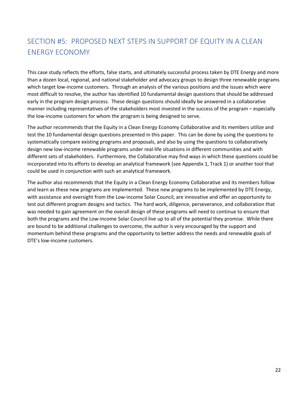# SECTION #5: PROPOSED NEXT STEPS IN SUPPORT OF EQUITY IN A CLEAN ENERGY ECONOMY

This case study reflects the efforts, false starts, and ultimately successful process taken by DTE Energy and more than a dozen local, regional, and national stakeholder and advocacy groups to design three renewable programs which target low-income customers. Through an analysis of the various positions and the issues which were most difficult to resolve, the author has identified 10 fundamental design questions that should be addressed early in the program design process. These design questions should ideally be answered in a collaborative manner including representatives of the stakeholders most invested in the success of the program – especially the low-income customers for whom the program is being designed to serve.

The author recommends that the Equity in a Clean Energy Economy Collaborative and its members utilize and test the 10 fundamental design questions presented in this paper. This can be done by using the questions to systematically compare existing programs and proposals, and also by using the questions to collaboratively design new low-income renewable programs under real-life situations in different communities and with different sets of stakeholders. Furthermore, the Collaborative may find ways in which these questions could be incorporated into its efforts to develop an analytical framework (see Appendix 1, Track 1) or another tool that could be used in conjunction with such an analytical framework.

The author also recommends that the Equity in a Clean Energy Economy Collaborative and its members follow and learn as these new programs are implemented. These new programs to be implemented by DTE Energy, with assistance and oversight from the Low-income Solar Council, are innovative and offer an opportunity to test out different program designs and tactics. The hard work, diligence, perseverance, and collaboration that was needed to gain agreement on the overall design of these programs will need to continue to ensure that both the programs and the Low-income Solar Council live up to all of the potential they promise. While there are bound to be additional challenges to overcome, the author is very encouraged by the support and momentum behind these programs and the opportunity to better address the needs and renewable goals of DTE's low-income customers.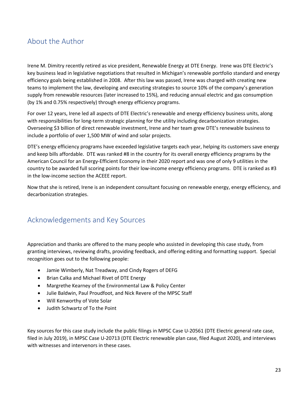# About the Author

Irene M. Dimitry recently retired as vice president, Renewable Energy at DTE Energy. Irene was DTE Electric's key business lead in legislative negotiations that resulted in Michigan's renewable portfolio standard and energy efficiency goals being established in 2008. After this law was passed, Irene was charged with creating new teams to implement the law, developing and executing strategies to source 10% of the company's generation supply from renewable resources (later increased to 15%), and reducing annual electric and gas consumption (by 1% and 0.75% respectively) through energy efficiency programs.

For over 12 years, Irene led all aspects of DTE Electric's renewable and energy efficiency business units, along with responsibilities for long-term strategic planning for the utility including decarbonization strategies. Overseeing \$3 billion of direct renewable investment, Irene and her team grew DTE's renewable business to include a portfolio of over 1,500 MW of wind and solar projects.

DTE's energy efficiency programs have exceeded legislative targets each year, helping its customers save energy and keep bills affordable. DTE was ranked #8 in the country for its overall energy efficiency programs by the American Council for an Energy-Efficient Economy in their 2020 report and was one of only 9 utilities in the country to be awarded full scoring points for their low-income energy efficiency programs. DTE is ranked as #3 in the low-income section the ACEEE report.

Now that she is retired, Irene is an independent consultant focusing on renewable energy, energy efficiency, and decarbonization strategies.

# Acknowledgements and Key Sources

Appreciation and thanks are offered to the many people who assisted in developing this case study, from granting interviews, reviewing drafts, providing feedback, and offering editing and formatting support. Special recognition goes out to the following people:

- Jamie Wimberly, Nat Treadway, and Cindy Rogers of DEFG
- Brian Calka and Michael Rivet of DTE Energy
- Margrethe Kearney of the Environmental Law & Policy Center
- Julie Baldwin, Paul Proudfoot, and Nick Revere of the MPSC Staff
- Will Kenworthy of Vote Solar
- Judith Schwartz of To the Point

Key sources for this case study include the public filings in MPSC Case U-20561 (DTE Electric general rate case, filed in July 2019), in MPSC Case U-20713 (DTE Electric renewable plan case, filed August 2020), and interviews with witnesses and intervenors in these cases.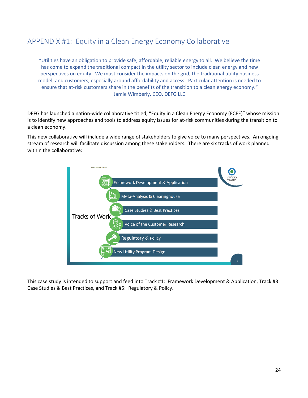# APPENDIX #1: Equity in a Clean Energy Economy Collaborative

"Utilities have an obligation to provide safe, affordable, reliable energy to all. We believe the time has come to expand the traditional compact in the utility sector to include clean energy and new perspectives on equity. We must consider the impacts on the grid, the traditional utility business model, and customers, especially around affordability and access. Particular attention is needed to ensure that at-risk customers share in the benefits of the transition to a clean energy economy." Jamie Wimberly, CEO, DEFG LLC

DEFG has launched a nation-wide collaborative titled, "Equity in a Clean Energy Economy (ECEE)" whose mission is to identify new approaches and tools to address equity issues for at-risk communities during the transition to a clean economy.

This new collaborative will include a wide range of stakeholders to give voice to many perspectives. An ongoing stream of research will facilitate discussion among these stakeholders. There are six tracks of work planned within the collaborative:



This case study is intended to support and feed into Track #1: Framework Development & Application, Track #3: Case Studies & Best Practices, and Track #5: Regulatory & Policy.